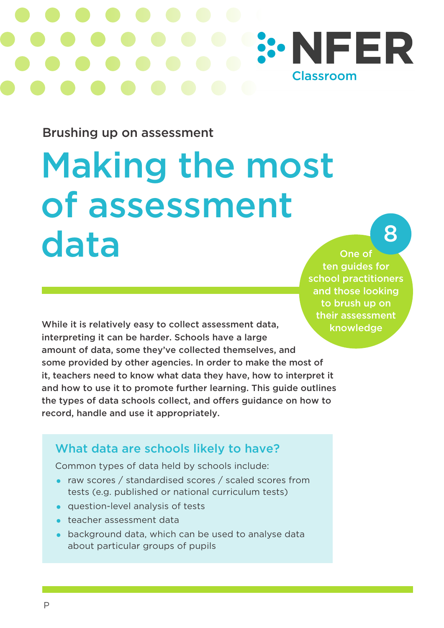

Brushing up on assessment

# Making the most of assessment data

# 8

One of ten guides for school practitioners and those looking to brush up on their assessment knowledge

While it is relatively easy to collect assessment data, interpreting it can be harder. Schools have a large amount of data, some they've collected themselves, and some provided by other agencies. In order to make the most of it, teachers need to know what data they have, how to interpret it and how to use it to promote further learning. This guide outlines the types of data schools collect, and offers guidance on how to record, handle and use it appropriately.

## What data are schools likely to have?

Common types of data held by schools include:

- raw scores / standardised scores / scaled scores from tests (e.g. published or national curriculum tests)
- question-level analysis of tests
- teacher assessment data
- background data, which can be used to analyse data about particular groups of pupils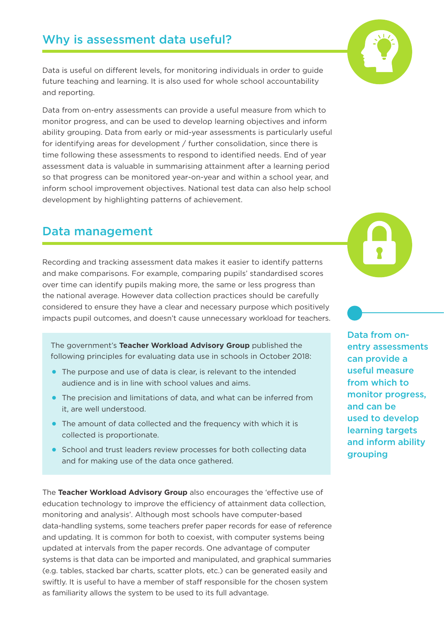## Why is assessment data useful?

Data is useful on different levels, for monitoring individuals in order to guide future teaching and learning. It is also used for whole school accountability and reporting.

Data from on-entry assessments can provide a useful measure from which to monitor progress, and can be used to develop learning objectives and inform ability grouping. Data from early or mid-year assessments is particularly useful for identifying areas for development / further consolidation, since there is time following these assessments to respond to identified needs. End of year assessment data is valuable in summarising attainment after a learning period so that progress can be monitored year-on-year and within a school year, and inform school improvement objectives. National test data can also help school development by highlighting patterns of achievement.

### Data management

Recording and tracking assessment data makes it easier to identify patterns and make comparisons. For example, comparing pupils' standardised scores over time can identify pupils making more, the same or less progress than the national average. However data collection practices should be carefully considered to ensure they have a clear and necessary purpose which positively impacts pupil outcomes, and doesn't cause unnecessary workload for teachers.

The government's **Teacher Workload Advisory Group** published the following principles for evaluating data use in schools in October 2018:

- The purpose and use of data is clear, is relevant to the intended audience and is in line with school values and aims.
- The precision and limitations of data, and what can be inferred from it, are well understood.
- The amount of data collected and the frequency with which it is collected is proportionate.
- School and trust leaders review processes for both collecting data and for making use of the data once gathered.

The **Teacher Workload Advisory Group** also encourages the 'effective use of education technology to improve the efficiency of attainment data collection, monitoring and analysis'. Although most schools have computer-based data-handling systems, some teachers prefer paper records for ease of reference and updating. It is common for both to coexist, with computer systems being updated at intervals from the paper records. One advantage of computer systems is that data can be imported and manipulated, and graphical summaries (e.g. tables, stacked bar charts, scatter plots, etc.) can be generated easily and swiftly. It is useful to have a member of staff responsible for the chosen system as familiarity allows the system to be used to its full advantage.





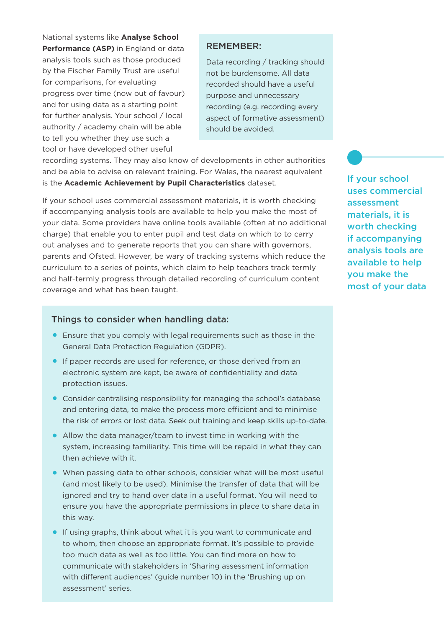National systems like **Analyse School Performance (ASP)** in England or data analysis tools such as those produced by the Fischer Family Trust are useful for comparisons, for evaluating progress over time (now out of favour) and for using data as a starting point for further analysis. Your school / local authority / academy chain will be able to tell you whether they use such a tool or have developed other useful

#### REMEMBER:

Data recording / tracking should not be burdensome. All data recorded should have a useful purpose and unnecessary recording (e.g. recording every aspect of formative assessment) should be avoided.

recording systems. They may also know of developments in other authorities and be able to advise on relevant training. For Wales, the nearest equivalent is the **Academic Achievement by Pupil Characteristics** dataset.

If your school uses commercial assessment materials, it is worth checking if accompanying analysis tools are available to help you make the most of your data. Some providers have online tools available (often at no additional charge) that enable you to enter pupil and test data on which to to carry out analyses and to generate reports that you can share with governors, parents and Ofsted. However, be wary of tracking systems which reduce the curriculum to a series of points, which claim to help teachers track termly and half-termly progress through detailed recording of curriculum content coverage and what has been taught.

#### Things to consider when handling data:

- Ensure that you comply with legal requirements such as those in the General Data Protection Regulation (GDPR).
- If paper records are used for reference, or those derived from an electronic system are kept, be aware of confidentiality and data protection issues.
- Consider centralising responsibility for managing the school's database and entering data, to make the process more efficient and to minimise the risk of errors or lost data. Seek out training and keep skills up-to-date.
- Allow the data manager/team to invest time in working with the system, increasing familiarity. This time will be repaid in what they can then achieve with it.
- When passing data to other schools, consider what will be most useful (and most likely to be used). Minimise the transfer of data that will be ignored and try to hand over data in a useful format. You will need to ensure you have the appropriate permissions in place to share data in this way.
- If using graphs, think about what it is you want to communicate and to whom, then choose an appropriate format. It's possible to provide too much data as well as too little. You can find more on how to communicate with stakeholders in 'Sharing assessment information with different audiences' (guide number 10) in the 'Brushing up on assessment' series.

If your school uses commercial assessment materials, it is worth checking if accompanying analysis tools are available to help you make the most of your data